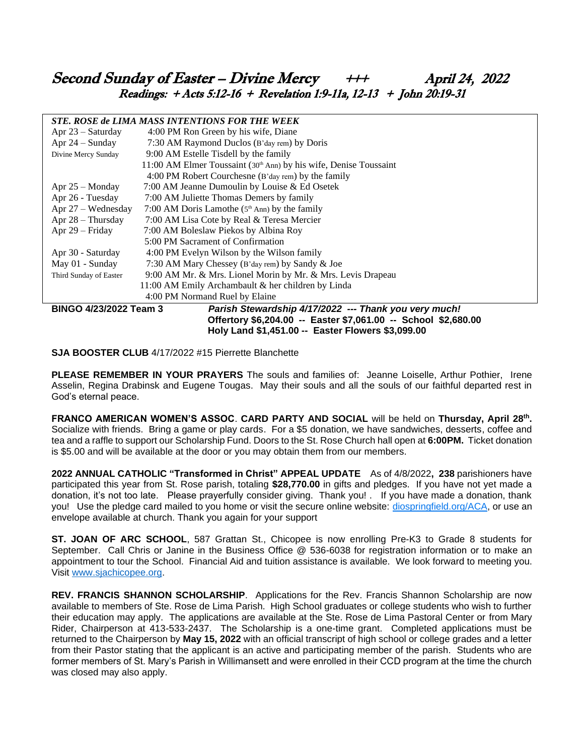# Second Sunday of Easter – Divine Mercy  $+++$  April 24, 2022 Readings:  $+$  Acts 5:12-16 + Revelation 1:9-11a, 12-13 + John 20:19-31

#### *STE. ROSE de LIMA MASS INTENTIONS FOR THE WEEK*

| эте. Коэе ве елия шаээ нутемттолу год тие уеск                                  |                                                                                 |
|---------------------------------------------------------------------------------|---------------------------------------------------------------------------------|
| Apr $23 -$ Saturday                                                             | 4:00 PM Ron Green by his wife, Diane                                            |
| Apr $24$ – Sunday                                                               | 7:30 AM Raymond Duclos (B'day rem) by Doris                                     |
| Divine Mercy Sunday                                                             | 9:00 AM Estelle Tisdell by the family                                           |
|                                                                                 | $11:00$ AM Elmer Toussaint (30 <sup>th</sup> Ann) by his wife, Denise Toussaint |
|                                                                                 | 4:00 PM Robert Courchesne (B'day rem) by the family                             |
| Apr $25 -$ Monday                                                               | 7:00 AM Jeanne Dumoulin by Louise & Ed Osetek                                   |
| Apr 26 - Tuesday                                                                | 7:00 AM Juliette Thomas Demers by family                                        |
| Apr 27 – Wednesday                                                              | 7:00 AM Doris Lamothe $(5th Ann)$ by the family                                 |
| Apr $28 - Thursday$                                                             | 7:00 AM Lisa Cote by Real & Teresa Mercier                                      |
| Apr 29 – Friday                                                                 | 7:00 AM Boleslaw Piekos by Albina Roy                                           |
|                                                                                 | 5:00 PM Sacrament of Confirmation                                               |
| Apr 30 - Saturday                                                               | 4:00 PM Evelyn Wilson by the Wilson family                                      |
| May 01 - Sunday                                                                 | 7:30 AM Mary Chessey (B'day rem) by Sandy & Joe                                 |
| Third Sunday of Easter                                                          | 9:00 AM Mr. & Mrs. Lionel Morin by Mr. & Mrs. Levis Drapeau                     |
|                                                                                 | 11:00 AM Emily Archambault & her children by Linda                              |
|                                                                                 | 4:00 PM Normand Ruel by Elaine                                                  |
| BINGO 4/23/2022 Team 3<br>Parish Stewardship 4/17/2022 --- Thank you very much! |                                                                                 |
|                                                                                 | Offertory \$6,204.00 -- Easter \$7,061.00 -- School \$2,680.00                  |
|                                                                                 | Holy Land \$1,451.00 -- Easter Flowers \$3,099.00                               |

**SJA BOOSTER CLUB** 4/17/2022 #15 Pierrette Blanchette

**PLEASE REMEMBER IN YOUR PRAYERS** The souls and families of: Jeanne Loiselle, Arthur Pothier, Irene Asselin, Regina Drabinsk and Eugene Tougas. May their souls and all the souls of our faithful departed rest in God's eternal peace.

**FRANCO AMERICAN WOMEN'S ASSOC**. **CARD PARTY AND SOCIAL** will be held on **Thursday, April 28th .** Socialize with friends. Bring a game or play cards. For a \$5 donation, we have sandwiches, desserts, coffee and tea and a raffle to support our Scholarship Fund. Doors to the St. Rose Church hall open at **6:00PM.** Ticket donation is \$5.00 and will be available at the door or you may obtain them from our members.

**2022 ANNUAL CATHOLIC "Transformed in Christ" APPEAL UPDATE** As of 4/8/2022**, 238** parishioners have participated this year from St. Rose parish, totaling **\$28,770.00** in gifts and pledges. If you have not yet made a donation, it's not too late. Please prayerfully consider giving. Thank you! . If you have made a donation, thank you! Use the pledge card mailed to you home or visit the secure online website: [diospringfield.org/ACA,](http://diospringfield.org/ACA) or use an envelope available at church. Thank you again for your support

**ST. JOAN OF ARC SCHOOL**, 587 Grattan St., Chicopee is now enrolling Pre-K3 to Grade 8 students for September. Call Chris or Janine in the Business Office @ 536-6038 for registration information or to make an appointment to tour the School. Financial Aid and tuition assistance is available. We look forward to meeting you. Visit [www.sjachicopee.org.](http://www.sjachicopee.org/)

**REV. FRANCIS SHANNON SCHOLARSHIP**. Applications for the Rev. Francis Shannon Scholarship are now available to members of Ste. Rose de Lima Parish. High School graduates or college students who wish to further their education may apply. The applications are available at the Ste. Rose de Lima Pastoral Center or from Mary Rider, Chairperson at 413-533-2437. The Scholarship is a one-time grant. Completed applications must be returned to the Chairperson by **May 15, 2022** with an official transcript of high school or college grades and a letter from their Pastor stating that the applicant is an active and participating member of the parish. Students who are former members of St. Mary's Parish in Willimansett and were enrolled in their CCD program at the time the church was closed may also apply.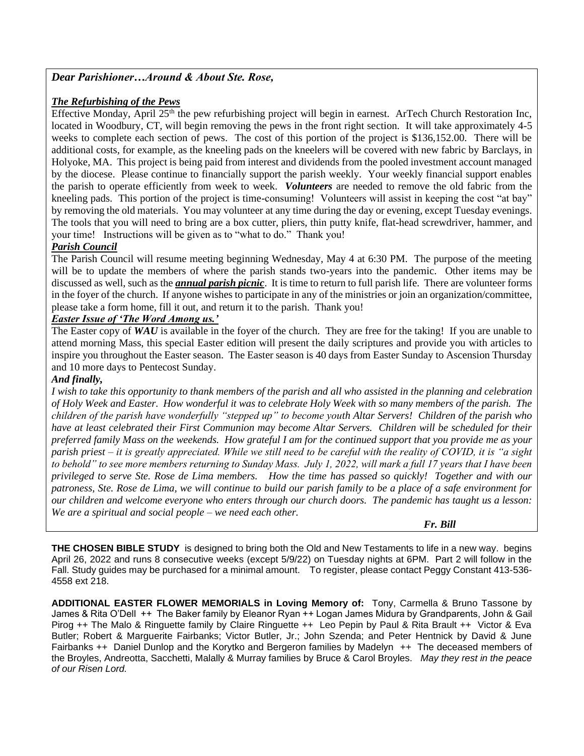# *Dear Parishioner…Around & About Ste. Rose,*

### *The Refurbishing of the Pews*

Effective Monday, April  $25<sup>th</sup>$  the pew refurbishing project will begin in earnest. ArTech Church Restoration Inc, located in Woodbury, CT, will begin removing the pews in the front right section. It will take approximately 4-5 weeks to complete each section of pews. The cost of this portion of the project is \$136,152.00. There will be additional costs, for example, as the kneeling pads on the kneelers will be covered with new fabric by Barclays, in Holyoke, MA. This project is being paid from interest and dividends from the pooled investment account managed by the diocese. Please continue to financially support the parish weekly. Your weekly financial support enables the parish to operate efficiently from week to week. *Volunteers* are needed to remove the old fabric from the kneeling pads. This portion of the project is time-consuming! Volunteers will assist in keeping the cost "at bay" by removing the old materials. You may volunteer at any time during the day or evening, except Tuesday evenings. The tools that you will need to bring are a box cutter, pliers, thin putty knife, flat-head screwdriver, hammer, and your time! Instructions will be given as to "what to do." Thank you!

# *Parish Council*

The Parish Council will resume meeting beginning Wednesday, May 4 at 6:30 PM. The purpose of the meeting will be to update the members of where the parish stands two-years into the pandemic. Other items may be discussed as well, such as the *annual parish picnic*. It is time to return to full parish life. There are volunteer forms in the foyer of the church. If anyone wishes to participate in any of the ministries or join an organization/committee, please take a form home, fill it out, and return it to the parish. Thank you!

# *Easter Issue of 'The Word Among us.'*

The Easter copy of **WAU** is available in the foyer of the church. They are free for the taking! If you are unable to attend morning Mass, this special Easter edition will present the daily scriptures and provide you with articles to inspire you throughout the Easter season. The Easter season is 40 days from Easter Sunday to Ascension Thursday and 10 more days to Pentecost Sunday.

### *And finally,*

*I wish to take this opportunity to thank members of the parish and all who assisted in the planning and celebration of Holy Week and Easter. How wonderful it was to celebrate Holy Week with so many members of the parish. The children of the parish have wonderfully "stepped up" to become youth Altar Servers! Children of the parish who have at least celebrated their First Communion may become Altar Servers. Children will be scheduled for their preferred family Mass on the weekends. How grateful I am for the continued support that you provide me as your parish priest – it is greatly appreciated. While we still need to be careful with the reality of COVID, it is "a sight to behold" to see more members returning to Sunday Mass. July 1, 2022, will mark a full 17 years that I have been privileged to serve Ste. Rose de Lima members. How the time has passed so quickly! Together and with our patroness, Ste. Rose de Lima, we will continue to build our parish family to be a place of a safe environment for our children and welcome everyone who enters through our church doors. The pandemic has taught us a lesson: We are a spiritual and social people – we need each other.* 

#### *Fr. Bill*

**THE CHOSEN BIBLE STUDY** is designed to bring both the Old and New Testaments to life in a new way. begins April 26, 2022 and runs 8 consecutive weeks (except 5/9/22) on Tuesday nights at 6PM. Part 2 will follow in the Fall. Study guides may be purchased for a minimal amount. To register, please contact Peggy Constant 413-536- 4558 ext 218.

**ADDITIONAL EASTER FLOWER MEMORIALS in Loving Memory of:** Tony, Carmella & Bruno Tassone by James & Rita O'Dell ++ The Baker family by Eleanor Ryan ++ Logan James Midura by Grandparents, John & Gail Pirog ++ The Malo & Ringuette family by Claire Ringuette ++ Leo Pepin by Paul & Rita Brault ++ Victor & Eva Butler; Robert & Marguerite Fairbanks; Victor Butler, Jr.; John Szenda; and Peter Hentnick by David & June Fairbanks ++ Daniel Dunlop and the Korytko and Bergeron families by Madelyn *++* The deceased members of the Broyles, Andreotta, Sacchetti, Malally & Murray families by Bruce & Carol Broyles. *May they rest in the peace of our Risen Lord.*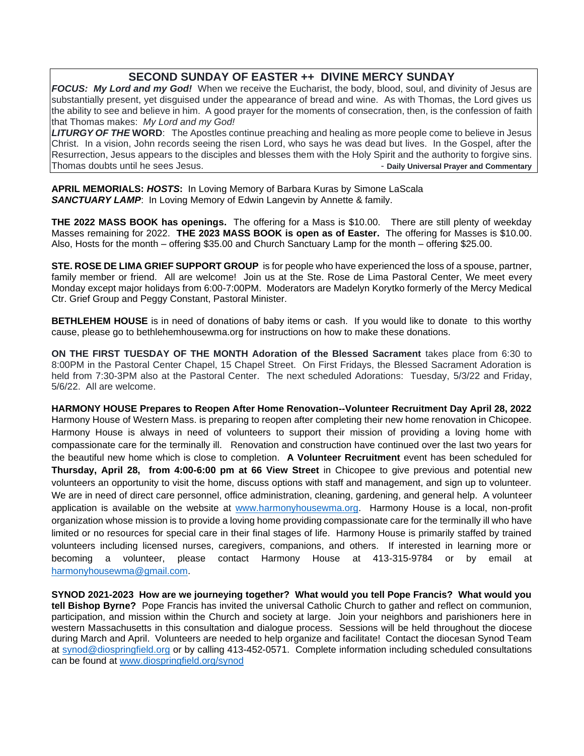# **SECOND SUNDAY OF EASTER ++ DIVINE MERCY SUNDAY**

*FOCUS: My Lord and my God!* When we receive the Eucharist, the body, blood, soul, and divinity of Jesus are substantially present, yet disguised under the appearance of bread and wine. As with Thomas, the Lord gives us the ability to see and believe in him. A good prayer for the moments of consecration, then, is the confession of faith that Thomas makes: *My Lord and my God!*

*LITURGY OF THE* **WORD**: The Apostles continue preaching and healing as more people come to believe in Jesus Christ. In a vision, John records seeing the risen Lord, who says he was dead but lives. In the Gospel, after the Resurrection, Jesus appears to the disciples and blesses them with the Holy Spirit and the authority to forgive sins. Thomas doubts until he sees Jesus. - **Daily Universal Prayer and Commentary**

**APRIL MEMORIALS:** *HOSTS***:** In Loving Memory of Barbara Kuras by Simone LaScala **SANCTUARY LAMP:** In Loving Memory of Edwin Langevin by Annette & family.

**THE 2022 MASS BOOK has openings.** The offering for a Mass is \$10.00. There are still plenty of weekday Masses remaining for 2022. **THE 2023 MASS BOOK is open as of Easter.** The offering for Masses is \$10.00. Also, Hosts for the month – offering \$35.00 and Church Sanctuary Lamp for the month – offering \$25.00.

**STE. ROSE DE LIMA GRIEF SUPPORT GROUP** is for people who have experienced the loss of a spouse, partner, family member or friend. All are welcome! Join us at the Ste. Rose de Lima Pastoral Center, We meet every Monday except major holidays from 6:00-7:00PM. Moderators are Madelyn Korytko formerly of the Mercy Medical Ctr. Grief Group and Peggy Constant, Pastoral Minister.

**BETHLEHEM HOUSE** is in need of donations of baby items or cash. If you would like to donate to this worthy cause, please go to bethlehemhousewma.org for instructions on how to make these donations.

**ON THE FIRST TUESDAY OF THE MONTH Adoration of the Blessed Sacrament** takes place from 6:30 to 8:00PM in the Pastoral Center Chapel, 15 Chapel Street. On First Fridays, the Blessed Sacrament Adoration is held from 7:30-3PM also at the Pastoral Center. The next scheduled Adorations: Tuesday, 5/3/22 and Friday, 5/6/22. All are welcome.

**HARMONY HOUSE Prepares to Reopen After Home Renovation--Volunteer Recruitment Day April 28, 2022** Harmony House of Western Mass. is preparing to reopen after completing their new home renovation in Chicopee. Harmony House is always in need of volunteers to support their mission of providing a loving home with compassionate care for the terminally ill. Renovation and construction have continued over the last two years for the beautiful new home which is close to completion. **A Volunteer Recruitment** event has been scheduled for **Thursday, April 28, from 4:00-6:00 pm at 66 View Street** in Chicopee to give previous and potential new volunteers an opportunity to visit the home, discuss options with staff and management, and sign up to volunteer. We are in need of direct care personnel, office administration, cleaning, gardening, and general help. A volunteer application is available on the website at [www.harmonyhousewma.org.](http://www.harmonyhousewma.org/) Harmony House is a local, non-profit organization whose mission is to provide a loving home providing compassionate care for the terminally ill who have limited or no resources for special care in their final stages of life. Harmony House is primarily staffed by trained volunteers including licensed nurses, caregivers, companions, and others. If interested in learning more or becoming a volunteer, please contact Harmony House at 413-315-9784 or by email at harmonyhousewma@gmail.com.

**SYNOD 2021-2023 How are we journeying together? What would you tell Pope Francis? What would you tell Bishop Byrne?** Pope Francis has invited the universal Catholic Church to gather and reflect on communion, participation, and mission within the Church and society at large. Join your neighbors and parishioners here in western Massachusetts in this consultation and dialogue process. Sessions will be held throughout the diocese during March and April. Volunteers are needed to help organize and facilitate! Contact the diocesan Synod Team at [synod@diospringfield.org](mailto:synod@diospringfield.org) or by calling 413-452-0571. Complete information including scheduled consultations can be found at [www.diospringfield.org/synod](http://www.diospringfield.org/synod)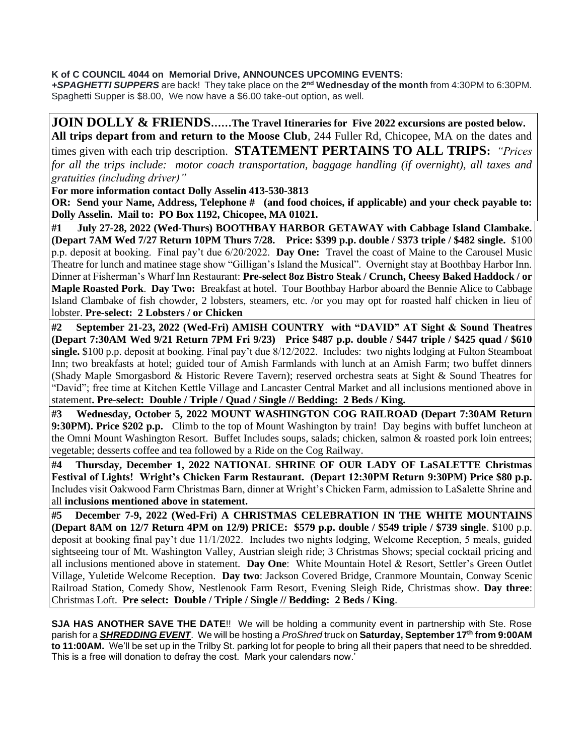**K of C COUNCIL 4044 on Memorial Drive, ANNOUNCES UPCOMING EVENTS:** 

**+SPAGHETTI SUPPERS** are back! They take place on the 2<sup>nd</sup> Wednesday of the month from 4:30PM to 6:30PM. Spaghetti Supper is \$8.00, We now have a \$6.00 take-out option, as well.

# **JOIN DOLLY & FRIENDS……The Travel Itineraries for Five 2022 excursions are posted below. All trips depart from and return to the Moose Club**, 244 Fuller Rd, Chicopee, MA on the dates and times given with each trip description. **STATEMENT PERTAINS TO ALL TRIPS:** *"Prices for all the trips include: motor coach transportation, baggage handling (if overnight), all taxes and gratuities (including driver)"*  **For more information contact Dolly Asselin 413-530-3813 OR: Send your Name, Address, Telephone #** (and food choices, if applicable) and your check payable to: **Dolly Asselin. Mail to: PO Box 1192, Chicopee, MA 01021. #1 July 27-28, 2022 (Wed-Thurs) BOOTHBAY HARBOR GETAWAY with Cabbage Island Clambake. (Depart 7AM Wed 7/27 Return 10PM Thurs 7/28. Price: \$399 p.p. double / \$373 triple / \$482 single.** \$100 p.p. deposit at booking. Final pay't due 6/20/2022. **Day One:** Travel the coast of Maine to the Carousel Music Theatre for lunch and matinee stage show "Gilligan's Island the Musical". Overnight stay at Boothbay Harbor Inn. Dinner at Fisherman's Wharf Inn Restaurant: **Pre-select 8oz Bistro Steak / Crunch, Cheesy Baked Haddock / or Maple Roasted Pork**. **Day Two:** Breakfast at hotel. Tour Boothbay Harbor aboard the Bennie Alice to Cabbage

Island Clambake of fish chowder, 2 lobsters, steamers, etc. /or you may opt for roasted half chicken in lieu of lobster. **Pre-select: 2 Lobsters / or Chicken**

**#2 September 21-23, 2022 (Wed-Fri) AMISH COUNTRY with "DAVID" AT Sight & Sound Theatres (Depart 7:30AM Wed 9/21 Return 7PM Fri 9/23) Price \$487 p.p. double / \$447 triple / \$425 quad / \$610 single.** \$100 p.p. deposit at booking. Final pay't due 8/12/2022. Includes: two nights lodging at Fulton Steamboat Inn; two breakfasts at hotel; guided tour of Amish Farmlands with lunch at an Amish Farm; two buffet dinners (Shady Maple Smorgasbord & Historic Revere Tavern); reserved orchestra seats at Sight & Sound Theatres for "David"; free time at Kitchen Kettle Village and Lancaster Central Market and all inclusions mentioned above in statement**. Pre-select: Double / Triple / Quad / Single // Bedding: 2 Beds / King.**

**#3 Wednesday, October 5, 2022 MOUNT WASHINGTON COG RAILROAD (Depart 7:30AM Return 9:30PM). Price \$202 p.p.** Climb to the top of Mount Washington by train! Day begins with buffet luncheon at the Omni Mount Washington Resort. Buffet Includes soups, salads; chicken, salmon & roasted pork loin entrees; vegetable; desserts coffee and tea followed by a Ride on the Cog Railway.

**#4 Thursday, December 1, 2022 NATIONAL SHRINE OF OUR LADY OF LaSALETTE Christmas Festival of Lights! Wright's Chicken Farm Restaurant. (Depart 12:30PM Return 9:30PM) Price \$80 p.p.** Includes visit Oakwood Farm Christmas Barn, dinner at Wright's Chicken Farm, admission to LaSalette Shrine and all **inclusions mentioned above in statement.** 

**#5 December 7-9, 2022 (Wed-Fri) A CHRISTMAS CELEBRATION IN THE WHITE MOUNTAINS (Depart 8AM on 12/7 Return 4PM on 12/9) PRICE: \$579 p.p. double / \$549 triple / \$739 single**. \$100 p.p. deposit at booking final pay't due 11/1/2022. Includes two nights lodging, Welcome Reception, 5 meals, guided sightseeing tour of Mt. Washington Valley, Austrian sleigh ride; 3 Christmas Shows; special cocktail pricing and all inclusions mentioned above in statement. **Day One**: White Mountain Hotel & Resort, Settler's Green Outlet Village, Yuletide Welcome Reception. **Day two**: Jackson Covered Bridge, Cranmore Mountain, Conway Scenic Railroad Station, Comedy Show, Nestlenook Farm Resort, Evening Sleigh Ride, Christmas show. **Day three**: Christmas Loft. **Pre select: Double / Triple / Single // Bedding: 2 Beds / King**.

**SJA HAS ANOTHER SAVE THE DATE**!! We will be holding a community event in partnership with Ste. Rose parish for a *SHREDDING EVENT*. We will be hosting a *ProShred* truck on **Saturday, September 17th from 9:00AM to 11:00AM.** We'll be set up in the Trilby St. parking lot for people to bring all their papers that need to be shredded. This is a free will donation to defray the cost. Mark your calendars now.'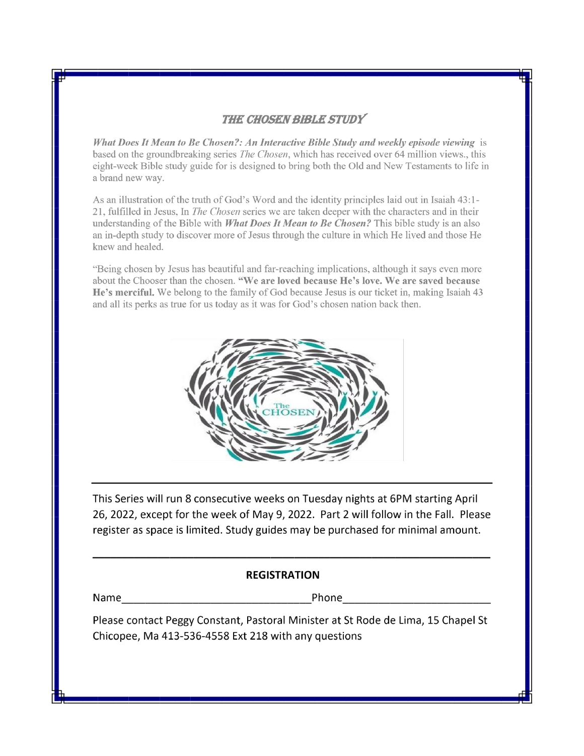# **THE CHOSEN BIBLE STUDY**

What Does It Mean to Be Chosen?: An Interactive Bible Study and weekly episode viewing is based on the groundbreaking series *The Chosen*, which has received over 64 million views., this eight-week Bible study guide for is designed to bring both the Old and New Testaments to life in a brand new way.

As an illustration of the truth of God's Word and the identity principles laid out in Isaiah 43:1-21, fulfilled in Jesus, In *The Chosen* series we are taken deeper with the characters and in their understanding of the Bible with *What Does It Mean to Be Chosen?* This bible study is an also an in-depth study to discover more of Jesus through the culture in which He lived and those He knew and healed.

"Being chosen by Jesus has beautiful and far-reaching implications, although it says even more about the Chooser than the chosen. "We are loved because He's love. We are saved because He's merciful. We belong to the family of God because Jesus is our ticket in, making Isaiah 43 and all its perks as true for us today as it was for God's chosen nation back then.



This Series will run 8 consecutive weeks on Tuesday nights at 6PM starting April 26, 2022, except for the week of May 9, 2022. Part 2 will follow in the Fall. Please register as space is limited. Study guides may be purchased for minimal amount.

# **REGISTRATION**

**Phone** 

Please contact Peggy Constant, Pastoral Minister at St Rode de Lima, 15 Chapel St Chicopee, Ma 413-536-4558 Ext 218 with any questions